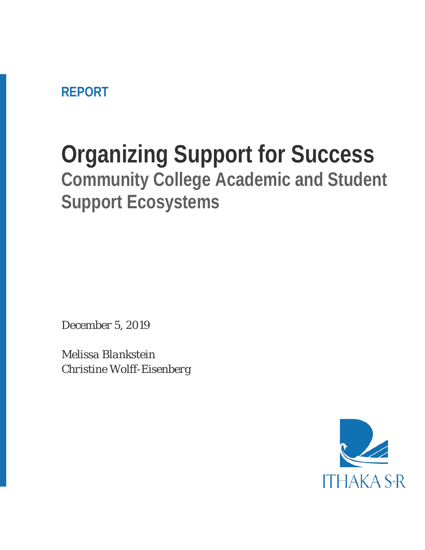**REPORT**

# **Organizing Support for Success Community College Academic and Student Support Ecosystems**

*December 5, 2019*

*Melissa Blankstein Christine Wolff-Eisenberg*

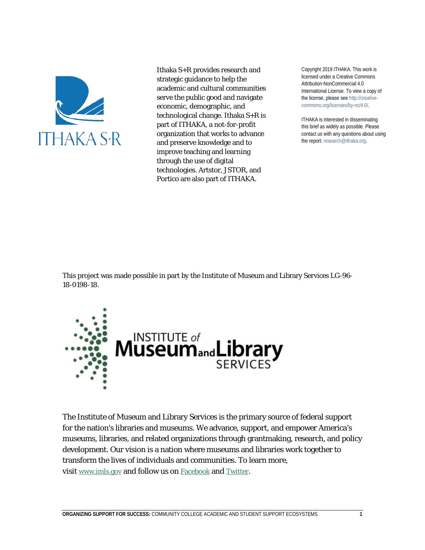

Ithaka S+R provides research and strategic guidance to help the academic and cultural communities serve the public good and navigate economic, demographic, and technological change. Ithaka S+R is part of ITHAKA, a not-for-profit organization that works to advance and preserve knowledge and to improve teaching and learning through the use of digital technologies. Artstor, JSTOR, and Portico are also part of ITHAKA.

Copyright 2019 ITHAKA. This work is licensed under a Creative Commons Attribution-NonCommercial 4.0 International License. To view a copy of the license, please see http://creativecommons.org/licenses/by-nc/4.0/.

ITHAKA is interested in disseminating this brief as widely as possible. Please contact us with any questions about using the report: research@ithaka.org.

This project was made possible in part by the Institute of Museum and Library Services LG-96- 18-0198-18.



The Institute of Museum and Library Services is the primary source of federal support for the nation's libraries and museums. We advance, support, and empower America's museums, libraries, and related organizations through grantmaking, research, and policy development. Our vision is a nation where museums and libraries work together to transform the lives of individuals and communities. To learn more, visit [www.imls.gov](https://www.imls.gov/) and follow us on [Facebook](http://www.facebook.com/USIMLS) and [Twitter.](http://www.twitter.com/us_imls)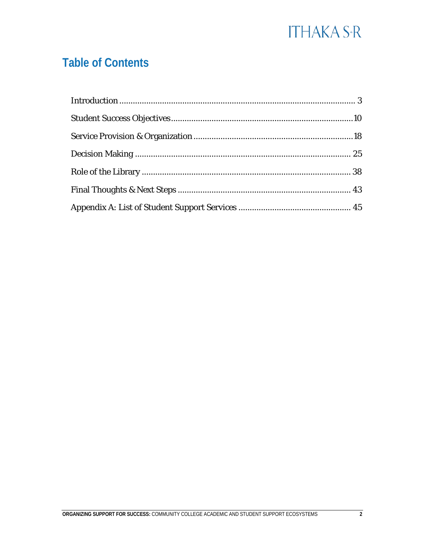### **Table of Contents**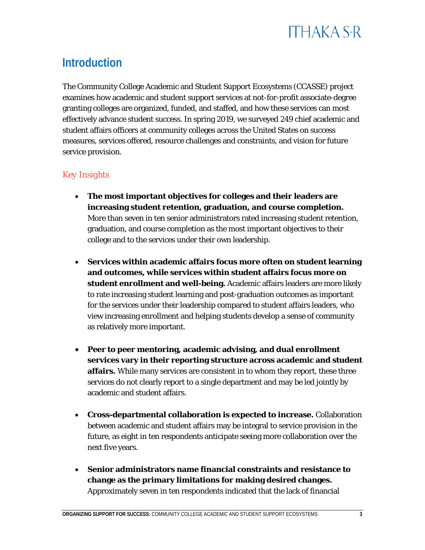

#### <span id="page-3-0"></span>**Introduction**

The Community College Academic and Student Support Ecosystems (CCASSE) project examines how academic and student support services at not-for-profit associate-degree granting colleges are organized, funded, and staffed, and how these services can most effectively advance student success. In spring 2019, we surveyed 249 chief academic and student affairs officers at community colleges across the United States on success measures, services offered, resource challenges and constraints, and vision for future service provision.

#### *Key Insights*

- **The most important objectives for colleges and their leaders are increasing student retention, graduation, and course completion.** More than seven in ten senior administrators rated increasing student retention, graduation, and course completion as the most important objectives to their college and to the services under their own leadership.
- **Services within academic affairs focus more often on student learning and outcomes, while services within student affairs focus more on student enrollment and well-being.** Academic affairs leaders are more likely to rate increasing student learning and post-graduation outcomes as important for the services under their leadership compared to student affairs leaders, who view increasing enrollment and helping students develop a sense of community as relatively more important.
- **Peer to peer mentoring, academic advising, and dual enrollment services vary in their reporting structure across academic and student affairs.** While many services are consistent in to whom they report, these three services do not clearly report to a single department and may be led jointly by academic and student affairs.
- **Cross-departmental collaboration is expected to increase.** Collaboration between academic and student affairs may be integral to service provision in the future, as eight in ten respondents anticipate seeing more collaboration over the next five years.
- **Senior administrators name financial constraints and resistance to change as the primary limitations for making desired changes.** Approximately seven in ten respondents indicated that the lack of financial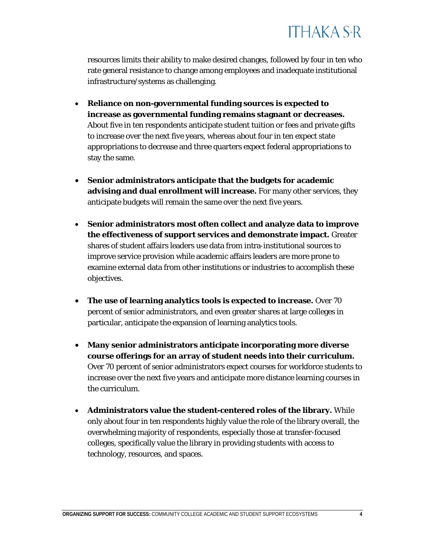resources limits their ability to make desired changes, followed by four in ten who rate general resistance to change among employees and inadequate institutional infrastructure/systems as challenging.

- **Reliance on non-governmental funding sources is expected to increase as governmental funding remains stagnant or decreases.**  About five in ten respondents anticipate student tuition or fees and private gifts to increase over the next five years, whereas about four in ten expect state appropriations to decrease and three quarters expect federal appropriations to stay the same.
- **Senior administrators anticipate that the budgets for academic advising and dual enrollment will increase.** For many other services, they anticipate budgets will remain the same over the next five years.
- **Senior administrators most often collect and analyze data to improve the effectiveness of support services and demonstrate impact.** Greater shares of student affairs leaders use data from intra-institutional sources to improve service provision while academic affairs leaders are more prone to examine external data from other institutions or industries to accomplish these objectives.
- **The use of learning analytics tools is expected to increase.** Over 70 percent of senior administrators, and even greater shares at large colleges in particular, anticipate the expansion of learning analytics tools.
- **Many senior administrators anticipate incorporating more diverse course offerings for an array of student needs into their curriculum.**  Over 70 percent of senior administrators expect courses for workforce students to increase over the next five years and anticipate more distance learning courses in the curriculum.
- **Administrators value the student-centered roles of the library.** While only about four in ten respondents highly value the role of the library overall, the overwhelming majority of respondents, especially those at transfer-focused colleges, specifically value the library in providing students with access to technology, resources, and spaces.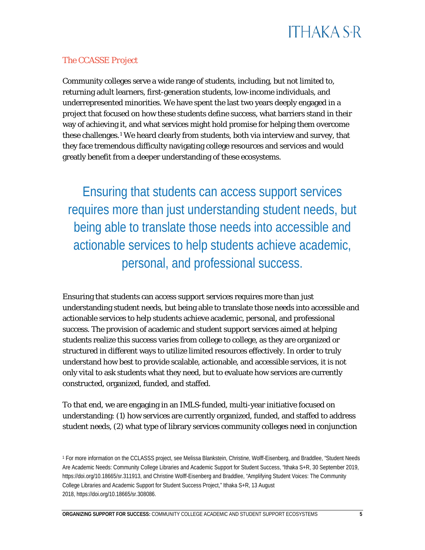#### *The CCASSE Project*

Community colleges serve a wide range of students, including, but not limited to, returning adult learners, first-generation students, low-income individuals, and underrepresented minorities. We have spent the last two years deeply engaged in a project that focused on how these students define success, what barriers stand in their way of achieving it, and what services might hold promise for helping them overcome these challenges.<sup>[1](#page-5-0)</sup> We heard clearly from students, both via interview and survey, that they face tremendous difficulty navigating college resources and services and would greatly benefit from a deeper understanding of these ecosystems.

Ensuring that students can access support services requires more than just understanding student needs, but being able to translate those needs into accessible and actionable services to help students achieve academic, personal, and professional success.

Ensuring that students can access support services requires more than just understanding student needs, but being able to translate those needs into accessible and actionable services to help students achieve academic, personal, and professional success. The provision of academic and student support services aimed at helping students realize this success varies from college to college, as they are organized or structured in different ways to utilize limited resources effectively. In order to truly understand how best to provide scalable, actionable, and accessible services, it is not only vital to ask students what they need, but to evaluate how services are currently constructed, organized, funded, and staffed.

To that end, we are engaging in an IMLS-funded, multi-year initiative focused on understanding: (1) how services are currently organized, funded, and staffed to address student needs, (2) what type of library services community colleges need in conjunction

<span id="page-5-0"></span><sup>1</sup> For more information on the CCLASSS project, see Melissa Blankstein, Christine, Wolff-Eisenberg, and Braddlee, "Student Needs Are Academic Needs: Community College Libraries and Academic Support for Student Success, "Ithaka S+R, 30 September 2019, [https://doi.org/10.18665/sr.311913,](https://doi.org/10.18665/sr.311913) and Christine Wolff-Eisenberg and Braddlee, "Amplifying Student Voices: The Community College Libraries and Academic Support for Student Success Project," Ithaka S+R, 13 August 2018, [https://doi.org/10.18665/sr.308086.](https://doi.org/10.18665/sr.308086)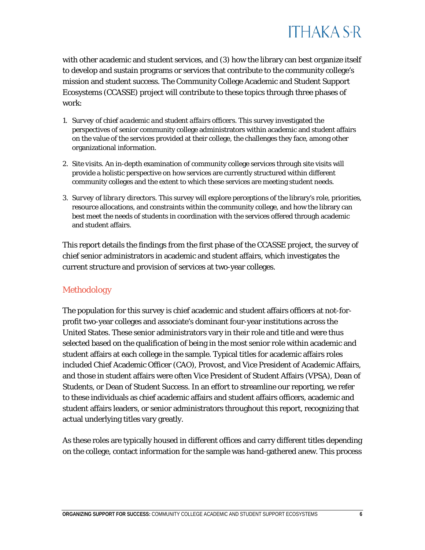

with other academic and student services, and (3) how the library can best organize itself to develop and sustain programs or services that contribute to the community college's mission and student success. The Community College Academic and Student Support Ecosystems (CCASSE) project will contribute to these topics through three phases of work:

- 1. *Survey of chief academic and student affairs officers.* This survey investigated the perspectives of senior community college administrators within academic and student affairs on the value of the services provided at their college, the challenges they face, among other organizational information.
- 2. *Site visits.* An in-depth examination of community college services through site visits will provide a holistic perspective on how services are currently structured within different community colleges and the extent to which these services are meeting student needs.
- 3. *Survey of library directors.* This survey will explore perceptions of the library's role, priorities, resource allocations, and constraints within the community college, and how the library can best meet the needs of students in coordination with the services offered through academic and student affairs.

This report details the findings from the first phase of the CCASSE project, the survey of chief senior administrators in academic and student affairs, which investigates the current structure and provision of services at two-year colleges.

#### *Methodology*

The population for this survey is chief academic and student affairs officers at not-forprofit two-year colleges and associate's dominant four-year institutions across the United States. These senior administrators vary in their role and title and were thus selected based on the qualification of being in the most senior role within academic and student affairs at each college in the sample. Typical titles for academic affairs roles included Chief Academic Officer (CAO), Provost, and Vice President of Academic Affairs, and those in student affairs were often Vice President of Student Affairs (VPSA), Dean of Students, or Dean of Student Success. In an effort to streamline our reporting, we refer to these individuals as chief academic affairs and student affairs officers, academic and student affairs leaders, or senior administrators throughout this report, recognizing that actual underlying titles vary greatly.

As these roles are typically housed in different offices and carry different titles depending on the college, contact information for the sample was hand-gathered anew. This process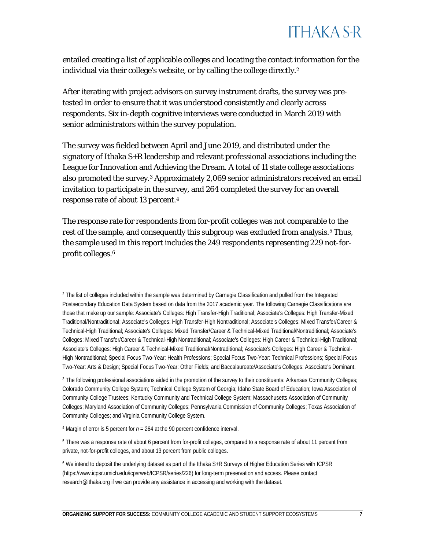

entailed creating a list of applicable colleges and locating the contact information for the individual via their college's website, or by calling the college directly.[2](#page-7-0)

After iterating with project advisors on survey instrument drafts, the survey was pretested in order to ensure that it was understood consistently and clearly across respondents. Six in-depth cognitive interviews were conducted in March 2019 with senior administrators within the survey population.

The survey was fielded between April and June 2019, and distributed under the signatory of Ithaka S+R leadership and relevant professional associations including the League for Innovation and Achieving the Dream. A total of 11 state college associations also promoted the survey.[3](#page-7-1) Approximately 2,069 senior administrators received an email invitation to participate in the survey, and 264 completed the survey for an overall response rate of about 13 percent.[4](#page-7-2)

The response rate for respondents from for-profit colleges was not comparable to the rest of the sample, and consequently this subgroup was excluded from analysis.<sup>[5](#page-7-3)</sup> Thus, the sample used in this report includes the 249 respondents representing 229 not-forprofit colleges.[6](#page-7-4)

<span id="page-7-0"></span><sup>2</sup> The list of colleges included within the sample was determined by Carnegie Classification and pulled from the Integrated Postsecondary Education Data System based on data from the 2017 academic year. The following Carnegie Classifications are those that make up our sample: Associate's Colleges: High Transfer-High Traditional; Associate's Colleges: High Transfer-Mixed Traditional/Nontraditional; Associate's Colleges: High Transfer-High Nontraditional; Associate's Colleges: Mixed Transfer/Career & Technical-High Traditional; Associate's Colleges: Mixed Transfer/Career & Technical-Mixed Traditional/Nontraditional; Associate's Colleges: Mixed Transfer/Career & Technical-High Nontraditional; Associate's Colleges: High Career & Technical-High Traditional; Associate's Colleges: High Career & Technical-Mixed Traditional/Nontraditional; Associate's Colleges: High Career & Technical-High Nontraditional; Special Focus Two-Year: Health Professions; Special Focus Two-Year: Technical Professions; Special Focus Two-Year: Arts & Design; Special Focus Two-Year: Other Fields; and Baccalaureate/Associate's Colleges: Associate's Dominant.

<span id="page-7-1"></span><sup>3</sup> The following professional associations aided in the promotion of the survey to their constituents: Arkansas Community Colleges; Colorado Community College System; Technical College System of Georgia; Idaho State Board of Education; Iowa Association of Community College Trustees; Kentucky Community and Technical College System; Massachusetts Association of Community Colleges; Maryland Association of Community Colleges; Pennsylvania Commission of Community Colleges; Texas Association of Community Colleges; and Virginia Community College System.

<span id="page-7-2"></span><sup>4</sup> Margin of error is 5 percent for *n* = 264 at the 90 percent confidence interval.

<span id="page-7-3"></span><sup>5</sup> There was a response rate of about 6 percent from for-profit colleges, compared to a response rate of about 11 percent from private, not-for-profit colleges, and about 13 percent from public colleges.

<span id="page-7-4"></span><sup>6</sup> We intend to deposit the underlying dataset as part of the Ithaka S+R Surveys of Higher Education Series with ICPSR [\(https://www.icpsr.umich.edu/icpsrweb/ICPSR/series/226\)](https://www.icpsr.umich.edu/icpsrweb/ICPSR/series/226) for long-term preservation and access. Please contact research@ithaka.org if we can provide any assistance in accessing and working with the dataset.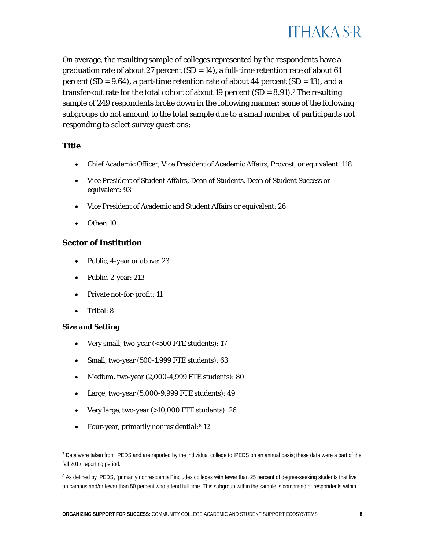

On average, the resulting sample of colleges represented by the respondents have a graduation rate of about 27 percent  $(SD = 14)$ , a full-time retention rate of about 61 percent (*SD* = 9.64), a part-time retention rate of about 44 percent (*SD* = 13), and a transfer-out rate for the total cohort of about 19 percent  $(SD = 8.91)$ .<sup>[7](#page-8-0)</sup> The resulting sample of 249 respondents broke down in the following manner; some of the following subgroups do not amount to the total sample due to a small number of participants not responding to select survey questions:

#### **Title**

- Chief Academic Officer, Vice President of Academic Affairs, Provost, or equivalent: 118
- Vice President of Student Affairs, Dean of Students, Dean of Student Success or equivalent: 93
- Vice President of Academic and Student Affairs or equivalent: 26
- Other: 10

#### **Sector of Institution**

- Public, 4-year or above: 23
- Public, 2-year: 213
- Private not-for-profit: 11
- Tribal: 8

#### **Size and Setting**

- Very small, two-year (<500 FTE students): 17
- Small, two-year (500-1,999 FTE students): 63
- Medium, two-year (2,000-4,999 FTE students): 80
- Large, two-year (5,000-9,999 FTE students): 49
- Very large, two-year (>10,000 FTE students): 26
- Four-year, primarily nonresidential:<sup>[8](#page-8-1)</sup> 12

<span id="page-8-1"></span><sup>8</sup> As defined by IPEDS, "primarily nonresidential" includes colleges with fewer than 25 percent of degree-seeking students that live on campus and/or fewer than 50 percent who attend full time. This subgroup within the sample is comprised of respondents within

<span id="page-8-0"></span><sup>7</sup> Data were taken from IPEDS and are reported by the individual college to IPEDS on an annual basis; these data were a part of the fall 2017 reporting period.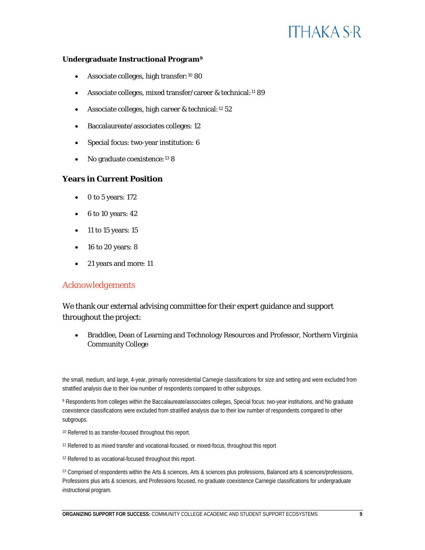#### **Undergraduate Instructional Program[9](#page-9-0)**

- Associate colleges, high transfer:<sup>[10](#page-9-1)</sup> 80
- Associate colleges, mixed transfer/career & technical:<sup>[11](#page-9-2)</sup> 89
- Associate colleges, high career & technical:<sup>[12](#page-9-3)</sup> 52
- Baccalaureate/associates colleges: 12
- Special focus: two-year institution: 6
- No graduate coexistence:<sup>[13](#page-9-4)</sup> 8

#### **Years in Current Position**

- 0 to 5 years: 172
- 6 to 10 years: 42
- 11 to 15 years: 15
- 16 to 20 years: 8
- 21 years and more: 11

#### *Acknowledgements*

We thank our external advising committee for their expert guidance and support throughout the project:

• Braddlee, Dean of Learning and Technology Resources and Professor, Northern Virginia Community College

the small, medium, and large, 4-year, primarily nonresidential Carnegie classifications for size and setting and were excluded from stratified analysis due to their low number of respondents compared to other subgroups.

<span id="page-9-0"></span>9 Respondents from colleges within the Baccalaureate/associates colleges, Special focus: two-year institutions, and No graduate coexistence classifications were excluded from stratified analysis due to their low number of respondents compared to other subgroups.

- <span id="page-9-1"></span><sup>10</sup> Referred to as transfer-focused throughout this report.
- <span id="page-9-2"></span><sup>11</sup> Referred to as mixed transfer and vocational-focused, or mixed-focus, throughout this report
- <span id="page-9-3"></span><sup>12</sup> Referred to as vocational-focused throughout this report.

<span id="page-9-4"></span><sup>13</sup> Comprised of respondents within the Arts & sciences, Arts & sciences plus professions, Balanced arts & sciences/professions, Professions plus arts & sciences, and Professions focused, no graduate coexistence Carnegie classifications for undergraduate instructional program.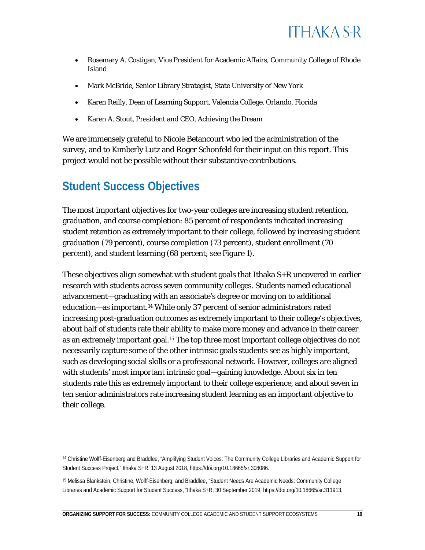

- Rosemary A. Costigan, Vice President for Academic Affairs, Community College of Rhode Island
- Mark McBride, Senior Library Strategist, State University of New York
- Karen Reilly, Dean of Learning Support, Valencia College, Orlando, Florida
- Karen A. Stout, President and CEO, Achieving the Dream

We are immensely grateful to Nicole Betancourt who led the administration of the survey, and to Kimberly Lutz and Roger Schonfeld for their input on this report. This project would not be possible without their substantive contributions.

#### <span id="page-10-0"></span>**Student Success Objectives**

The most important objectives for two-year colleges are increasing student retention, graduation, and course completion: 85 percent of respondents indicated increasing student retention as extremely important to their college, followed by increasing student graduation (79 percent), course completion (73 percent), student enrollment (70 percent), and student learning (68 percent; see Figure 1).

These objectives align somewhat with student goals that Ithaka S+R uncovered in earlier research with students across seven community colleges. Students named educational advancement—graduating with an associate's degree or moving on to additional education—as important.[14](#page-10-1) While only 37 percent of senior administrators rated increasing post-graduation outcomes as extremely important to their college's objectives, about half of students rate their ability to make more money and advance in their career as an extremely important goal.<sup>[15](#page-10-2)</sup> The top three most important college objectives do not necessarily capture some of the other intrinsic goals students see as highly important, such as developing social skills or a professional network. However, colleges are aligned with students' most important intrinsic goal—gaining knowledge. About six in ten students rate this as extremely important to their college experience, and about seven in ten senior administrators rate increasing student learning as an important objective to their college.

<span id="page-10-1"></span><sup>14</sup> Christine Wolff-Eisenberg and Braddlee, "Amplifying Student Voices: The Community College Libraries and Academic Support for Student Success Project," Ithaka S+R, 13 August 2018, [https://doi.org/10.18665/sr.308086.](https://doi.org/10.18665/sr.308086)

<span id="page-10-2"></span><sup>15</sup> Melissa Blankstein, Christine, Wolff-Eisenberg, and Braddlee, "Student Needs Are Academic Needs: Community College Libraries and Academic Support for Student Success, "Ithaka S+R, 30 September 2019[, https://doi.org/10.18665/sr.311913.](https://doi.org/10.18665/sr.311913)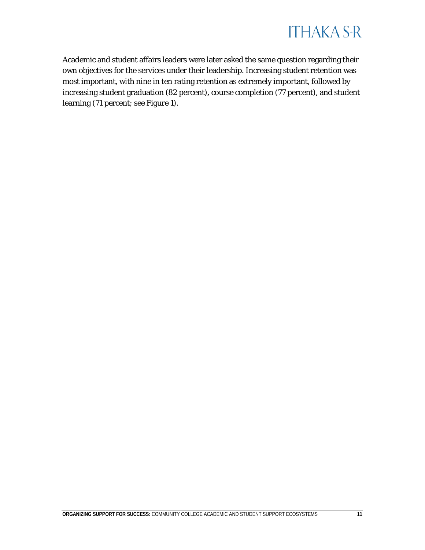

Academic and student affairs leaders were later asked the same question regarding their own objectives for the services under their leadership. Increasing student retention was most important, with nine in ten rating retention as extremely important, followed by increasing student graduation (82 percent), course completion (77 percent), and student learning (71 percent; see Figure 1).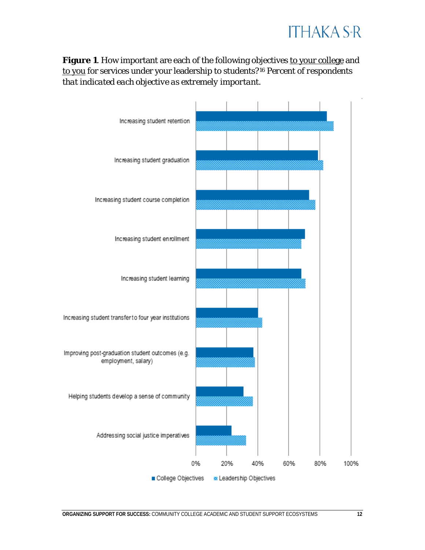

Figure 1. How important are each of the following objectives to your college and to you for services under your leadership to students?[16](#page-12-0) *Percent of respondents that indicated each objective as extremely important.*

<span id="page-12-0"></span>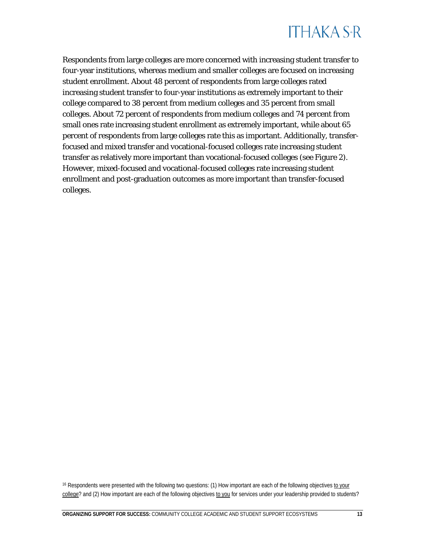Respondents from large colleges are more concerned with increasing student transfer to four-year institutions, whereas medium and smaller colleges are focused on increasing student enrollment. About 48 percent of respondents from large colleges rated increasing student transfer to four-year institutions as extremely important to their college compared to 38 percent from medium colleges and 35 percent from small colleges. About 72 percent of respondents from medium colleges and 74 percent from small ones rate increasing student enrollment as extremely important, while about 65 percent of respondents from large colleges rate this as important. Additionally, transferfocused and mixed transfer and vocational-focused colleges rate increasing student transfer as relatively more important than vocational-focused colleges (see Figure 2). However, mixed-focused and vocational-focused colleges rate increasing student enrollment and post-graduation outcomes as more important than transfer-focused colleges.

<sup>16</sup> Respondents were presented with the following two questions: (1) How important are each of the following objectives to your college? and (2) How important are each of the following objectives to you for services under your leadership provided to students?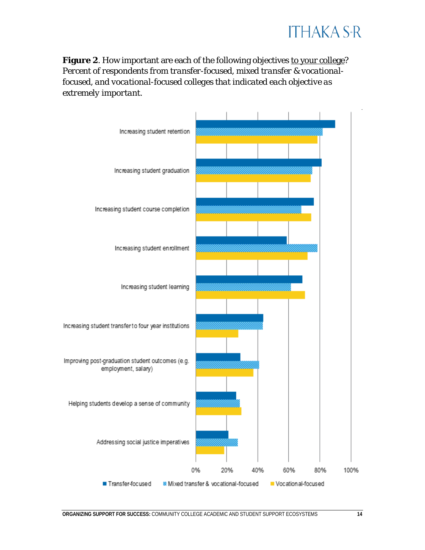

Figure 2. How important are each of the following objectives to your college? *Percent of respondents from transfer-focused, mixed transfer & vocationalfocused, and vocational-focused colleges that indicated each objective as extremely important.*

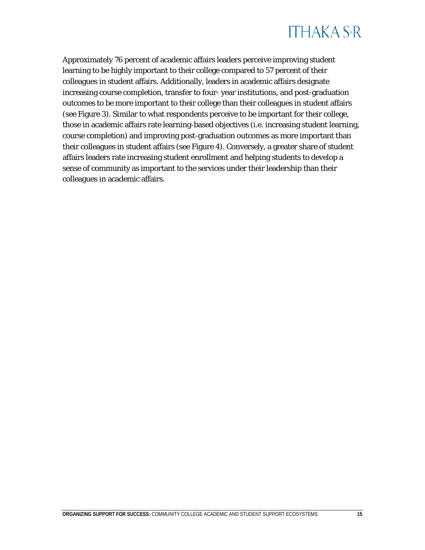

Approximately 76 percent of academic affairs leaders perceive improving student learning to be highly important to their college compared to 57 percent of their colleagues in student affairs. Additionally, leaders in academic affairs designate increasing course completion, transfer to four- year institutions, and post-graduation outcomes to be more important to their college than their colleagues in student affairs (see Figure 3). Similar to what respondents perceive to be important for their college, those in academic affairs rate learning-based objectives (i.e. increasing student learning, course completion) and improving post-graduation outcomes as more important than their colleagues in student affairs (see Figure 4). Conversely, a greater share of student affairs leaders rate increasing student enrollment and helping students to develop a sense of community as important to the services under their leadership than their colleagues in academic affairs.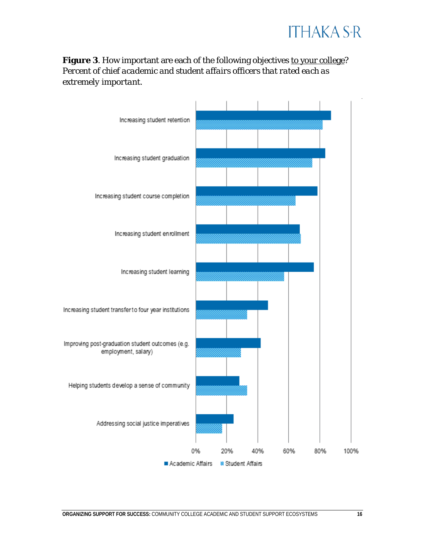

#### Figure 3. How important are each of the following objectives to your college? *Percent of chief academic and student affairs officers that rated each as extremely important.*

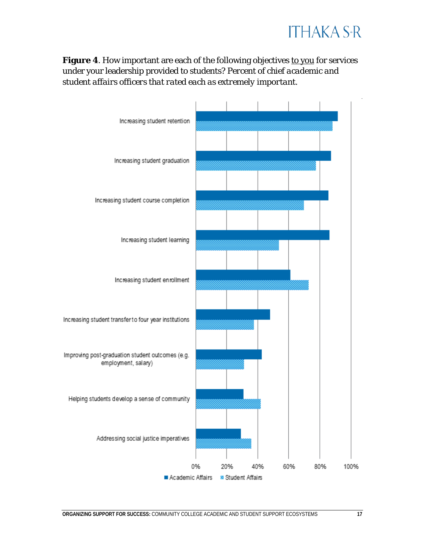

#### Figure 4. How important are each of the following objectives to you for services under your leadership provided to students? *Percent of chief academic and student affairs officers that rated each as extremely important.*

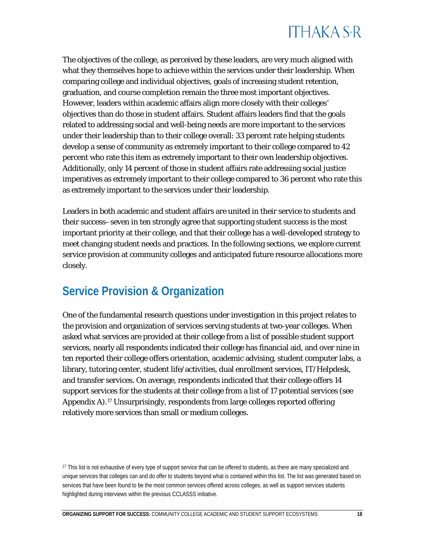The objectives of the college, as perceived by these leaders, are very much aligned with what they themselves hope to achieve within the services under their leadership. When comparing college and individual objectives, goals of increasing student retention, graduation, and course completion remain the three most important objectives. However, leaders within academic affairs align more closely with their colleges' objectives than do those in student affairs. Student affairs leaders find that the goals related to addressing social and well-being needs are more important to the services under their leadership than to their college overall: 33 percent rate helping students develop a sense of community as extremely important to their college compared to 42 percent who rate this item as extremely important to their own leadership objectives. Additionally, only 14 percent of those in student affairs rate addressing social justice imperatives as extremely important to their college compared to 36 percent who rate this as extremely important to the services under their leadership.

Leaders in both academic and student affairs are united in their service to students and their success–seven in ten strongly agree that supporting student success is the most important priority at their college, and that their college has a well-developed strategy to meet changing student needs and practices. In the following sections, we explore current service provision at community colleges and anticipated future resource allocations more closely.

#### <span id="page-18-0"></span>**Service Provision & Organization**

One of the fundamental research questions under investigation in this project relates to the provision and organization of services serving students at two-year colleges. When asked what services are provided at their college from a list of possible student support services, nearly all respondents indicated their college has financial aid, and over nine in ten reported their college offers orientation, academic advising, student computer labs, a library, tutoring center, student life/activities, dual enrollment services, IT/Helpdesk, and transfer services. On average, respondents indicated that their college offers 14 support services for the students at their college from a list of 17 potential services (see Appendix A)[.17](#page-18-1) Unsurprisingly, respondents from large colleges reported offering relatively more services than small or medium colleges.

<span id="page-18-1"></span><sup>&</sup>lt;sup>17</sup> This list is not exhaustive of every type of support service that can be offered to students, as there are many specialized and unique services that colleges can and do offer to students beyond what is contained within this list. The list was generated based on services that have been found to be the most common services offered across colleges, as well as support services students highlighted during interviews within the previous CCLASSS initiative.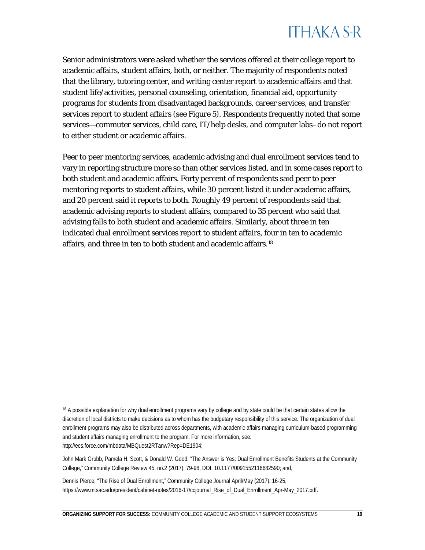Senior administrators were asked whether the services offered at their college report to academic affairs, student affairs, both, or neither. The majority of respondents noted that the library, tutoring center, and writing center report to academic affairs and that student life/activities, personal counseling, orientation, financial aid, opportunity programs for students from disadvantaged backgrounds, career services, and transfer services report to student affairs (see Figure 5). Respondents frequently noted that some services—commuter services, child care, IT/help desks, and computer labs–do not report to either student or academic affairs.

Peer to peer mentoring services, academic advising and dual enrollment services tend to vary in reporting structure more so than other services listed, and in some cases report to both student and academic affairs. Forty percent of respondents said peer to peer mentoring reports to student affairs, while 30 percent listed it under academic affairs, and 20 percent said it reports to both. Roughly 49 percent of respondents said that academic advising reports to student affairs, compared to 35 percent who said that advising falls to both student and academic affairs. Similarly, about three in ten indicated dual enrollment services report to student affairs, four in ten to academic affairs, and three in ten to both student and academic affairs.[18](#page-19-0)

<span id="page-19-0"></span><sup>18</sup> A possible explanation for why dual enrollment programs vary by college and by state could be that certain states allow the discretion of local districts to make decisions as to whom has the budgetary responsibility of this service. The organization of dual enrollment programs may also be distributed across departments, with academic affairs managing curriculum-based programming and student affairs managing enrollment to the program. For more information, see: [http://ecs.force.com/mbdata/MBQuest2RTanw?Rep=DE1904;](http://ecs.force.com/mbdata/MBQuest2RTanw?Rep=DE1904)

John Mark Grubb, Pamela H. Scott, & Donald W. Good, "The Answer is Yes: Dual Enrollment Benefits Students at the Community College," Community College Review 45, no.2 (2017): 79-98, DOI: 10.1177/0091552116682590; and,

Dennis Pierce, "The Rise of Dual Enrollment," Community College Journal April/May (2017): 16-25, [https://www.mtsac.edu/president/cabinet-notes/2016-17/ccjournal\\_Rise\\_of\\_Dual\\_Enrollment\\_Apr-May\\_2017.pdf.](https://www.mtsac.edu/president/cabinet-notes/2016-17/ccjournal_Rise_of_Dual_Enrollment_Apr-May_2017.pdf)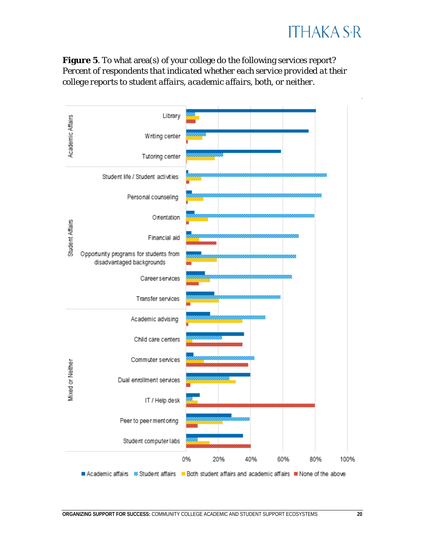

Figure 5. To what area(s) of your college do the following services report? *Percent of respondents that indicated whether each service provided at their college reports to student affairs, academic affairs, both, or neither.*

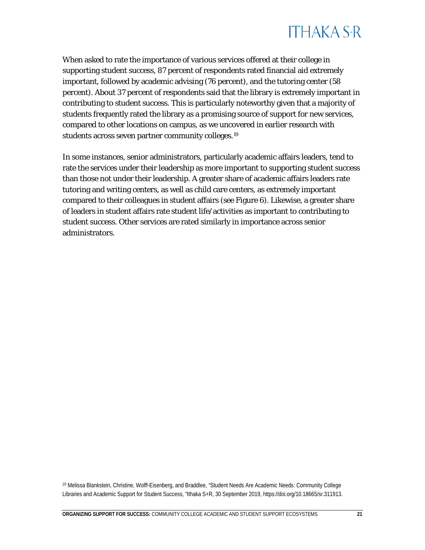

When asked to rate the importance of various services offered at their college in supporting student success, 87 percent of respondents rated financial aid extremely important, followed by academic advising (76 percent), and the tutoring center (58 percent). About 37 percent of respondents said that the library is extremely important in contributing to student success. This is particularly noteworthy given that a majority of students frequently rated the library as a promising source of support for new services, compared to other locations on campus, as we uncovered in earlier research with students across seven partner community colleges.[19](#page-21-0)

In some instances, senior administrators, particularly academic affairs leaders, tend to rate the services under their leadership as more important to supporting student success than those *not* under their leadership. A greater share of academic affairs leaders rate tutoring and writing centers, as well as child care centers, as extremely important compared to their colleagues in student affairs (see Figure 6). Likewise, a greater share of leaders in student affairs rate student life/activities as important to contributing to student success. Other services are rated similarly in importance across senior administrators.

<span id="page-21-0"></span><sup>19</sup> Melissa Blankstein, Christine, Wolff-Eisenberg, and Braddlee, "Student Needs Are Academic Needs: Community College Libraries and Academic Support for Student Success, "Ithaka S+R, 30 September 2019[, https://doi.org/10.18665/sr.311913.](https://doi.org/10.18665/sr.311913)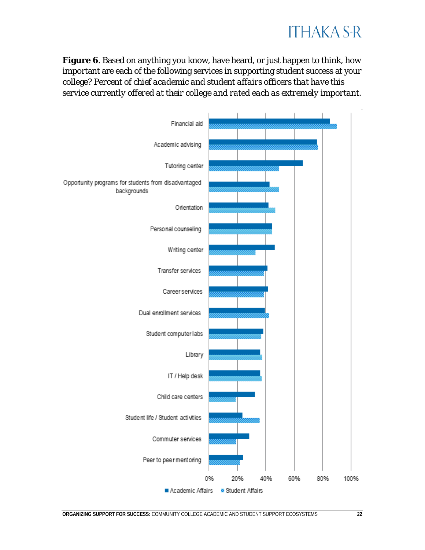### **ITHAKA S+R**

**Figure 6**. Based on anything you know, have heard, or just happen to think, how important are each of the following services in supporting student success at your college? *Percent of chief academic and student affairs officers that have this service currently offered at their college and rated each as extremely important.*

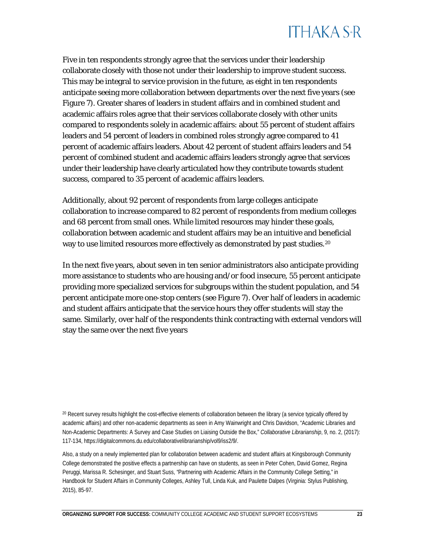Five in ten respondents strongly agree that the services under their leadership collaborate closely with those not under their leadership to improve student success. This may be integral to service provision in the future, as eight in ten respondents anticipate seeing more collaboration between departments over the next five years (see Figure 7). Greater shares of leaders in student affairs and in combined student and academic affairs roles agree that their services collaborate closely with other units compared to respondents solely in academic affairs: about 55 percent of student affairs leaders and 54 percent of leaders in combined roles strongly agree compared to 41 percent of academic affairs leaders. About 42 percent of student affairs leaders and 54 percent of combined student and academic affairs leaders strongly agree that services under their leadership have clearly articulated how they contribute towards student success, compared to 35 percent of academic affairs leaders.

Additionally, about 92 percent of respondents from large colleges anticipate collaboration to increase compared to 82 percent of respondents from medium colleges and 68 percent from small ones. While limited resources may hinder these goals, collaboration between academic and student affairs may be an intuitive and beneficial way to use limited resources more effectively as demonstrated by past studies.<sup>[20](#page-23-0)</sup>

In the next five years, about seven in ten senior administrators also anticipate providing more assistance to students who are housing and/or food insecure, 55 percent anticipate providing more specialized services for subgroups within the student population, and 54 percent anticipate more one-stop centers (see Figure 7). Over half of leaders in academic and student affairs anticipate that the service hours they offer students will stay the same. Similarly, over half of the respondents think contracting with external vendors will stay the same over the next five years

<span id="page-23-0"></span><sup>20</sup> Recent survey results highlight the cost-effective elements of collaboration between the library (a service typically offered by academic affairs) and other non-academic departments as seen in Amy Wainwright and Chris Davidson, "Academic Libraries and Non-Academic Departments: A Survey and Case Studies on Liaising Outside the Box," *Collaborative Librarianship*, 9, no. 2, (2017): 117-134[, https://digitalcommons.du.edu/collaborativelibrarianship/vol9/iss2/9/.](https://digitalcommons.du.edu/collaborativelibrarianship/vol9/iss2/9/) 

Also, a study on a newly implemented plan for collaboration between academic and student affairs at Kingsborough Community College demonstrated the positive effects a partnership can have on students, as seen in Peter Cohen, David Gomez, Regina Peruggi, Marissa R. Schesinger, and Stuart Suss, "Partnering with Academic Affairs in the Community College Setting," in Handbook for Student Affairs in Community Colleges, Ashley Tull, Linda Kuk, and Paulette Dalpes (Virginia: Stylus Publishing, 2015), 85-97.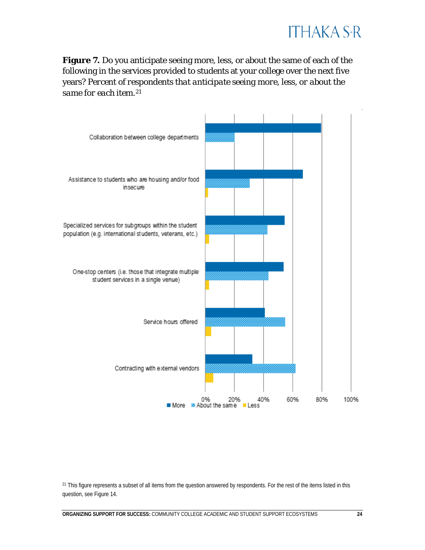

**Figure 7.** Do you anticipate seeing more, less, or about the same of each of the following in the services provided to students at your college over the next five years? *Percent of respondents that anticipate seeing more, less, or about the same for each item.*[21](#page-24-0)



<span id="page-24-0"></span><sup>21</sup> This figure represents a subset of all items from the question answered by respondents. For the rest of the items listed in this question, see Figure 14.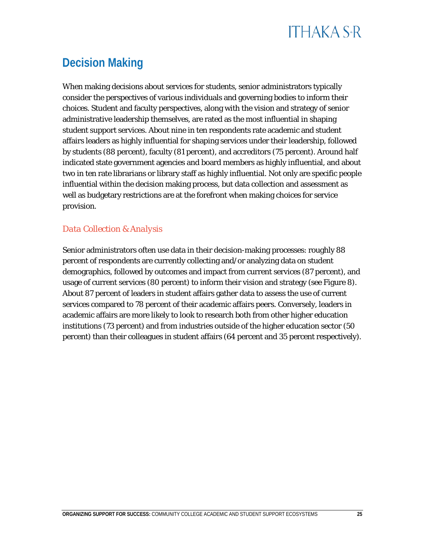#### <span id="page-25-0"></span>**Decision Making**

When making decisions about services for students, senior administrators typically consider the perspectives of various individuals and governing bodies to inform their choices. Student and faculty perspectives, along with the vision and strategy of senior administrative leadership themselves, are rated as the most influential in shaping student support services. About nine in ten respondents rate academic and student affairs leaders as highly influential for shaping services under their leadership, followed by students (88 percent), faculty (81 percent), and accreditors (75 percent). Around half indicated state government agencies and board members as highly influential, and about two in ten rate librarians or library staff as highly influential. Not only are specific people influential within the decision making process, but data collection and assessment as well as budgetary restrictions are at the forefront when making choices for service provision.

#### *Data Collection & Analysis*

Senior administrators often use data in their decision-making processes: roughly 88 percent of respondents are currently collecting and/or analyzing data on student demographics, followed by outcomes and impact from current services (87 percent), and usage of current services (80 percent) to inform their vision and strategy (see Figure 8). About 87 percent of leaders in student affairs gather data to assess the use of current services compared to 78 percent of their academic affairs peers. Conversely, leaders in academic affairs are more likely to look to research both from other higher education institutions (73 percent) and from industries outside of the higher education sector (50 percent) than their colleagues in student affairs (64 percent and 35 percent respectively).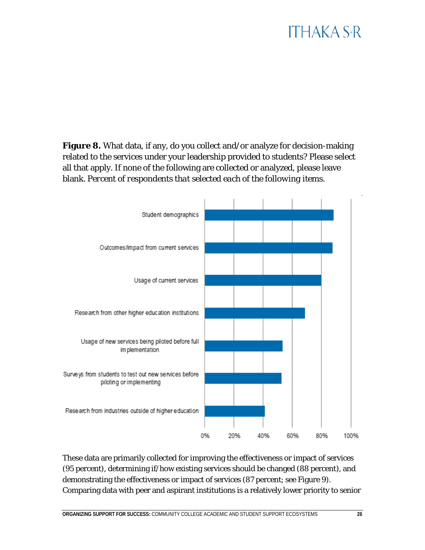**Figure 8.** What data, if any, do you collect and/or analyze for decision-making related to the services under your leadership provided to students? Please select all that apply. If none of the following are collected or analyzed, please leave blank. *Percent of respondents that selected each of the following items.*



These data are primarily collected for improving the effectiveness or impact of services (95 percent), determining if/how existing services should be changed (88 percent), and demonstrating the effectiveness or impact of services (87 percent; see Figure 9). Comparing data with peer and aspirant institutions is a relatively lower priority to senior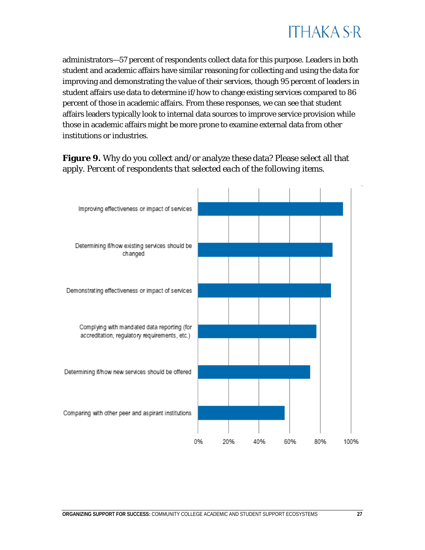

administrators—57 percent of respondents collect data for this purpose. Leaders in both student and academic affairs have similar reasoning for collecting and using the data for improving and demonstrating the value of their services, though 95 percent of leaders in student affairs use data to determine if/how to change existing services compared to 86 percent of those in academic affairs. From these responses, we can see that student affairs leaders typically look to internal data sources to improve service provision while those in academic affairs might be more prone to examine external data from other institutions or industries.

#### **Figure 9.** Why do you collect and/or analyze these data? Please select all that apply. *Percent of respondents that selected each of the following items.*

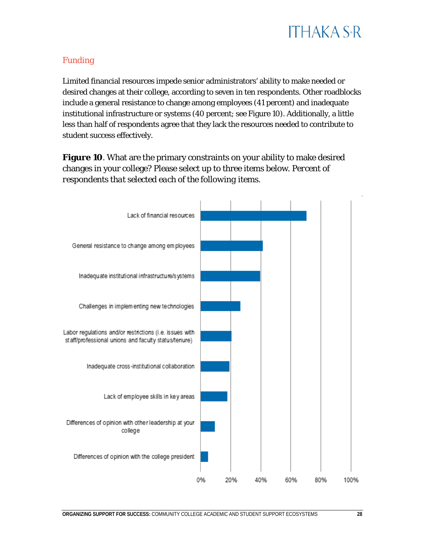

#### *Funding*

Limited financial resources impede senior administrators' ability to make needed or desired changes at their college, according to seven in ten respondents. Other roadblocks include a general resistance to change among employees (41 percent) and inadequate institutional infrastructure or systems (40 percent; see Figure 10). Additionally, a little less than half of respondents agree that they lack the resources needed to contribute to student success effectively.

**Figure 10**. What are the primary constraints on your ability to make desired changes in your college? Please select up to three items below. *Percent of respondents that selected each of the following items.*

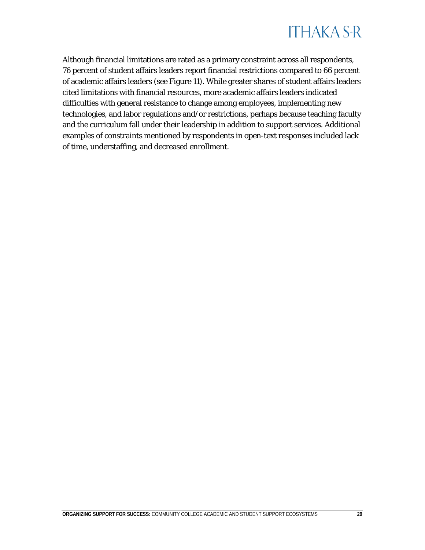

Although financial limitations are rated as a primary constraint across all respondents, 76 percent of student affairs leaders report financial restrictions compared to 66 percent of academic affairs leaders (see Figure 11). While greater shares of student affairs leaders cited limitations with financial resources, more academic affairs leaders indicated difficulties with general resistance to change among employees, implementing new technologies, and labor regulations and/or restrictions, perhaps because teaching faculty and the curriculum fall under their leadership in addition to support services. Additional examples of constraints mentioned by respondents in open-text responses included lack of time, understaffing, and decreased enrollment.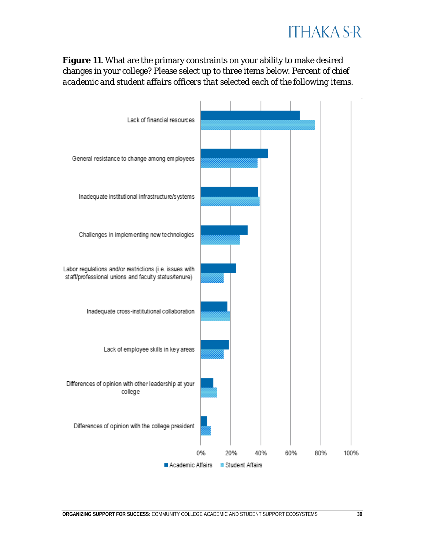### **ITHAKA S+R**

**Figure 11**. What are the primary constraints on your ability to make desired changes in your college? Please select up to three items below. *Percent of chief academic and student affairs officers that selected each of the following items.*

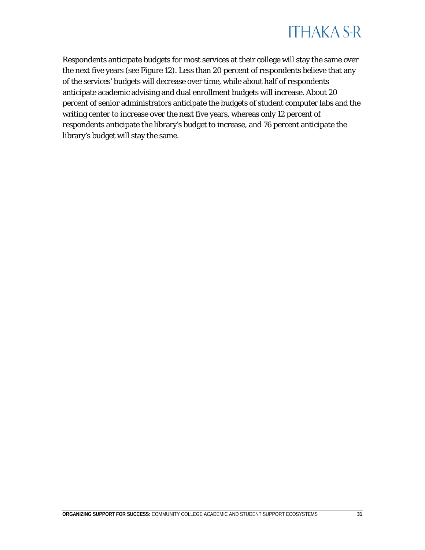

Respondents anticipate budgets for most services at their college will stay the same over the next five years (see Figure 12). Less than 20 percent of respondents believe that any of the services' budgets will decrease over time, while about half of respondents anticipate academic advising and dual enrollment budgets will increase. About 20 percent of senior administrators anticipate the budgets of student computer labs and the writing center to increase over the next five years, whereas only 12 percent of respondents anticipate the library's budget to increase, and 76 percent anticipate the library's budget will stay the same.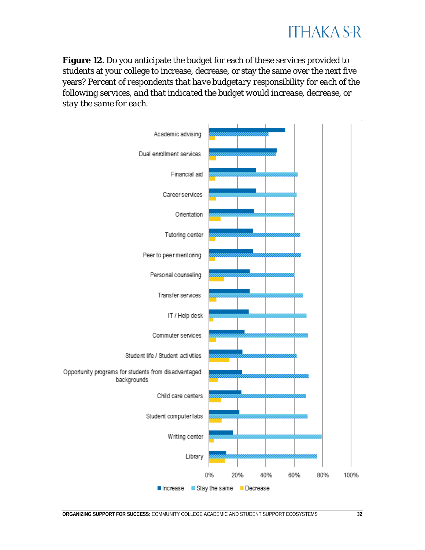**Figure 12**. Do you anticipate the budget for each of these services provided to students at your college to increase, decrease, or stay the same over the next five years? *Percent of respondents that have budgetary responsibility for each of the following services, and that indicated the budget would increase, decrease, or stay the same for each.*

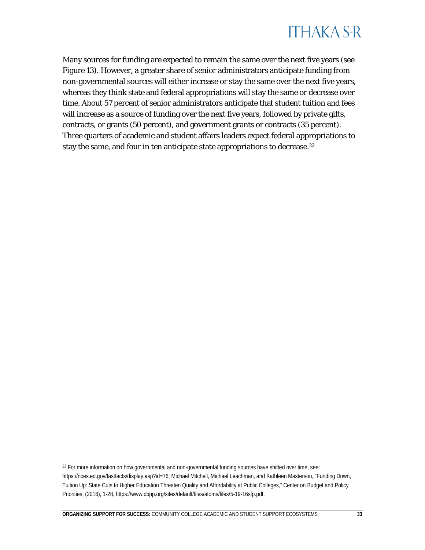

Many sources for funding are expected to remain the same over the next five years (see Figure 13). However, a greater share of senior administrators anticipate funding from non-governmental sources will either increase or stay the same over the next five years, whereas they think state and federal appropriations will stay the same or decrease over time. About 57 percent of senior administrators anticipate that student tuition and fees will increase as a source of funding over the next five years, followed by private gifts, contracts, or grants (50 percent), and government grants or contracts (35 percent). Three quarters of academic and student affairs leaders expect federal appropriations to stay the same, and four in ten anticipate state appropriations to decrease.<sup>22</sup>

<span id="page-33-0"></span><sup>22</sup> For more information on how governmental and non-governmental funding sources have shifted over time, see: [https://nces.ed.gov/fastfacts/display.asp?id=76;](https://nces.ed.gov/fastfacts/display.asp?id=76) Michael Mitchell, Michael Leachman, and Kathleen Masterson, "Funding Down, Tuition Up: State Cuts to Higher Education Threaten Quality and Affordability at Public Colleges," Center on Budget and Policy Priorities, (2016), 1-28[, https://www.cbpp.org/sites/default/files/atoms/files/5-19-16sfp.pdf.](https://www.cbpp.org/sites/default/files/atoms/files/5-19-16sfp.pdf)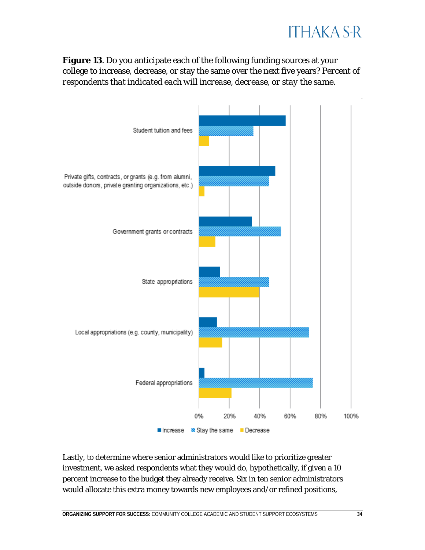

**Figure 13**. Do you anticipate each of the following funding sources at your college to increase, decrease, or stay the same over the next five years? *Percent of respondents that indicated each will increase, decrease, or stay the same.*



Lastly, to determine where senior administrators would like to prioritize greater investment, we asked respondents what they would do, hypothetically, if given a 10 percent increase to the budget they already receive. Six in ten senior administrators would allocate this extra money towards new employees and/or refined positions,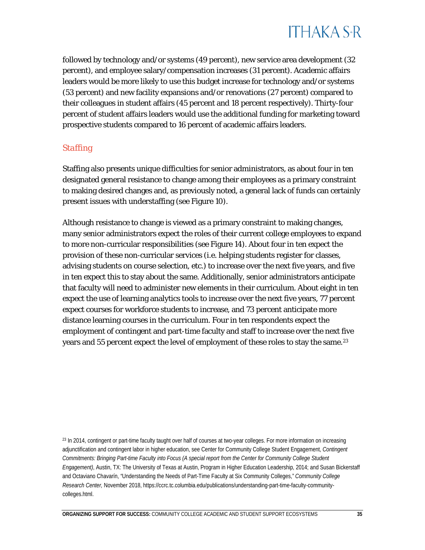

followed by technology and/or systems (49 percent), new service area development (32 percent), and employee salary/compensation increases (31 percent). Academic affairs leaders would be more likely to use this budget increase for technology and/or systems (53 percent) and new facility expansions and/or renovations (27 percent) compared to their colleagues in student affairs (45 percent and 18 percent respectively). Thirty-four percent of student affairs leaders would use the additional funding for marketing toward prospective students compared to 16 percent of academic affairs leaders.

#### *Staffing*

Staffing also presents unique difficulties for senior administrators, as about four in ten designated general resistance to change among their employees as a primary constraint to making desired changes and, as previously noted, a general lack of funds can certainly present issues with understaffing (see Figure 10).

Although resistance to change is viewed as a primary constraint to making changes, many senior administrators expect the roles of their current college employees to expand to more non-curricular responsibilities (see Figure 14). About four in ten expect the provision of these non-curricular services (i.e. helping students register for classes, advising students on course selection, etc.) to increase over the next five years, and five in ten expect this to stay about the same. Additionally, senior administrators anticipate that faculty will need to administer new elements in their curriculum. About eight in ten expect the use of learning analytics tools to increase over the next five years, 77 percent expect courses for workforce students to increase, and 73 percent anticipate more distance learning courses in the curriculum. Four in ten respondents expect the employment of contingent and part-time faculty and staff to increase over the next five years and 55 percent expect the level of employment of these roles to stay the same.<sup>[23](#page-35-0)</sup>

<span id="page-35-0"></span><sup>&</sup>lt;sup>23</sup> In 2014, contingent or part-time faculty taught over half of courses at two-year colleges. For more information on increasing adjunctification and contingent labor in higher education, see Center for Community College Student Engagement, *Contingent Commitments: Bringing Part-time Faculty into Focus (A special report from the Center for Community College Student Engagement)*, Austin, TX: The University of Texas at Austin, Program in Higher Education Leadership, 2014; and Susan Bickerstaff and Octaviano Chavarín, "Understanding the Needs of Part-Time Faculty at Six Community Colleges," *Community College Research Center,* November 2018[, https://ccrc.tc.columbia.edu/publications/understanding-part-time-faculty-community](https://ccrc.tc.columbia.edu/publications/understanding-part-time-faculty-community-colleges.html)[colleges.html.](https://ccrc.tc.columbia.edu/publications/understanding-part-time-faculty-community-colleges.html)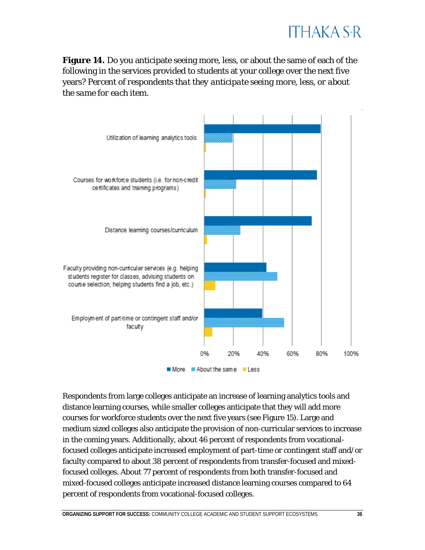

**Figure 14.** Do you anticipate seeing more, less, or about the same of each of the following in the services provided to students at your college over the next five years? *Percent of respondents that they anticipate seeing more, less, or about the same for each item.*



Respondents from large colleges anticipate an increase of learning analytics tools and distance learning courses, while smaller colleges anticipate that they will add more courses for workforce students over the next five years (see Figure 15). Large and medium sized colleges also anticipate the provision of non-curricular services to increase in the coming years. Additionally, about 46 percent of respondents from vocationalfocused colleges anticipate increased employment of part-time or contingent staff and/or faculty compared to about 38 percent of respondents from transfer-focused and mixedfocused colleges. About 77 percent of respondents from both transfer-focused and mixed-focused colleges anticipate increased distance learning courses compared to 64 percent of respondents from vocational-focused colleges.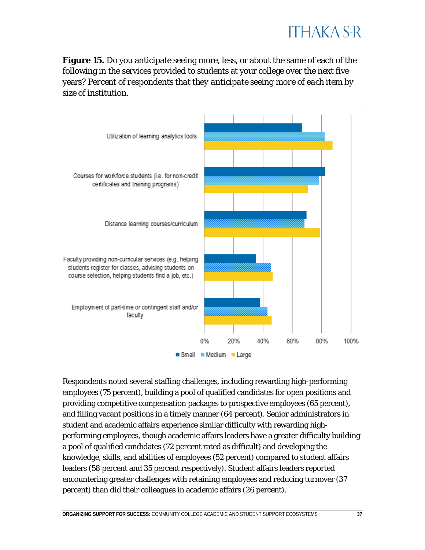**Figure 15.** Do you anticipate seeing more, less, or about the same of each of the following in the services provided to students at your college over the next five years? *Percent of respondents that they anticipate seeing more of each item by size of institution.*



Respondents noted several staffing challenges, including rewarding high-performing employees (75 percent), building a pool of qualified candidates for open positions and providing competitive compensation packages to prospective employees (65 percent), and filling vacant positions in a timely manner (64 percent). Senior administrators in student and academic affairs experience similar difficulty with rewarding highperforming employees, though academic affairs leaders have a greater difficulty building a pool of qualified candidates (72 percent rated as difficult) and developing the knowledge, skills, and abilities of employees (52 percent) compared to student affairs leaders (58 percent and 35 percent respectively). Student affairs leaders reported encountering greater challenges with retaining employees and reducing turnover (37 percent) than did their colleagues in academic affairs (26 percent).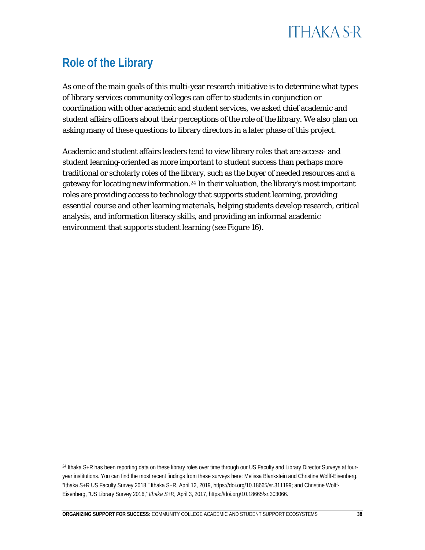### <span id="page-38-0"></span>**Role of the Library**

As one of the main goals of this multi-year research initiative is to determine what types of library services community colleges can offer to students in conjunction or coordination with other academic and student services, we asked chief academic and student affairs officers about their perceptions of the role of the library. We also plan on asking many of these questions to library directors in a later phase of this project.

Academic and student affairs leaders tend to view library roles that are access- and student learning-oriented as more important to student success than perhaps more traditional or scholarly roles of the library, such as the buyer of needed resources and a gateway for locating new information.<sup>[24](#page-38-1)</sup> In their valuation, the library's most important roles are providing access to technology that supports student learning, providing essential course and other learning materials, helping students develop research, critical analysis, and information literacy skills, and providing an informal academic environment that supports student learning (see Figure 16).

<span id="page-38-1"></span><sup>24</sup> Ithaka S+R has been reporting data on these library roles over time through our US Faculty and Library Director Surveys at fouryear institutions. You can find the most recent findings from these surveys here: Melissa Blankstein and Christine Wolff-Eisenberg, "Ithaka S+R US Faculty Survey 2018," Ithaka S+R, April 12, 2019, [https://doi.org/10.18665/sr.311199;](https://doi.org/10.18665/sr.311199) and Christine Wolff-Eisenberg, "US Library Survey 2016," *Ithaka S+R,* April 3, 2017, [https://doi.org/10.18665/sr.303066.](https://doi.org/10.18665/sr.303066)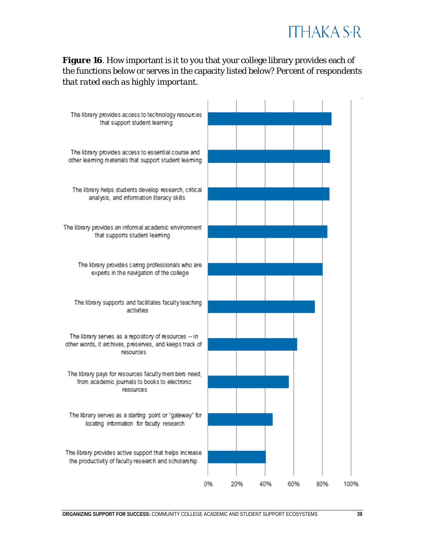**Figure 16**. How important is it to you that your college library provides each of the functions below or serves in the capacity listed below? *Percent of respondents that rated each as highly important.*

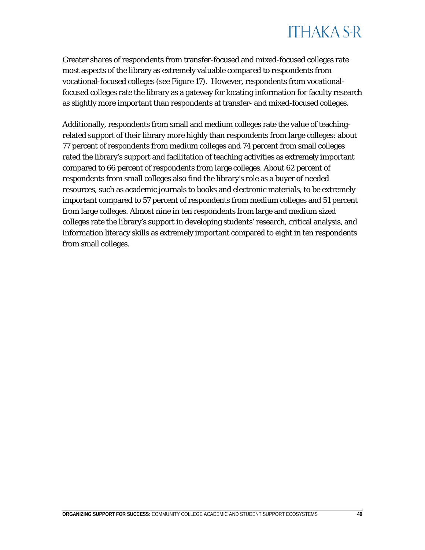

Greater shares of respondents from transfer-focused and mixed-focused colleges rate most aspects of the library as extremely valuable compared to respondents from vocational-focused colleges (see Figure 17). However, respondents from vocationalfocused colleges rate the library as a gateway for locating information for faculty research as slightly more important than respondents at transfer- and mixed-focused colleges.

Additionally, respondents from small and medium colleges rate the value of teachingrelated support of their library more highly than respondents from large colleges: about 77 percent of respondents from medium colleges and 74 percent from small colleges rated the library's support and facilitation of teaching activities as extremely important compared to 66 percent of respondents from large colleges. About 62 percent of respondents from small colleges also find the library's role as a buyer of needed resources, such as academic journals to books and electronic materials, to be extremely important compared to 57 percent of respondents from medium colleges and 51 percent from large colleges. Almost nine in ten respondents from large and medium sized colleges rate the library's support in developing students' research, critical analysis, and information literacy skills as extremely important compared to eight in ten respondents from small colleges.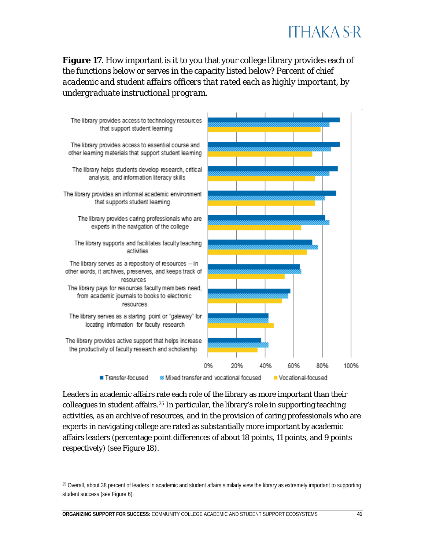### **ITHAKA S+R**

**Figure 17.** How important is it to you that your college library provides each of the functions below or serves in the capacity listed below? *Percent of chief academic and student affairs officers that rated each as highly important, by undergraduate instructional program.*



Leaders in academic affairs rate each role of the library as more important than their colleagues in student affairs.[25](#page-41-0) In particular, the library's role in supporting teaching activities, as an archive of resources, and in the provision of caring professionals who are experts in navigating college are rated as substantially more important by academic affairs leaders (percentage point differences of about 18 points, 11 points, and 9 points respectively) (see Figure 18).

<span id="page-41-0"></span><sup>&</sup>lt;sup>25</sup> Overall, about 38 percent of leaders in academic and student affairs similarly view the library as extremely important to supporting student success (see Figure 6).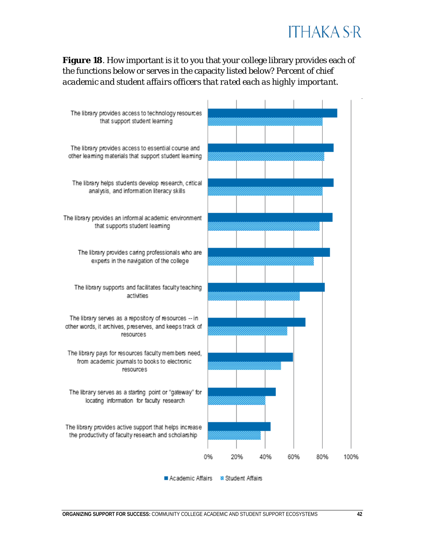**Figure 18**. How important is it to you that your college library provides each of the functions below or serves in the capacity listed below? *Percent of chief academic and student affairs officers that rated each as highly important.*

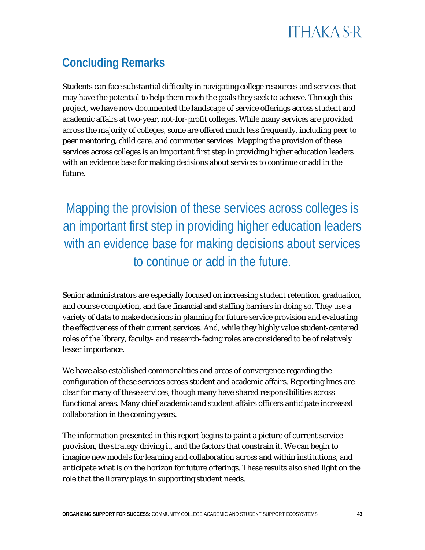### <span id="page-43-0"></span>**Concluding Remarks**

Students can face substantial difficulty in navigating college resources and services that may have the potential to help them reach the goals they seek to achieve. Through this project, we have now documented the landscape of service offerings across student and academic affairs at two-year, not-for-profit colleges. While many services are provided across the majority of colleges, some are offered much less frequently, including peer to peer mentoring, child care, and commuter services. Mapping the provision of these services across colleges is an important first step in providing higher education leaders with an evidence base for making decisions about services to continue or add in the future.

Mapping the provision of these services across colleges is an important first step in providing higher education leaders with an evidence base for making decisions about services to continue or add in the future.

Senior administrators are especially focused on increasing student retention, graduation, and course completion, and face financial and staffing barriers in doing so. They use a variety of data to make decisions in planning for future service provision and evaluating the effectiveness of their current services. And, while they highly value student-centered roles of the library, faculty- and research-facing roles are considered to be of relatively lesser importance.

We have also established commonalities and areas of convergence regarding the configuration of these services across student and academic affairs. Reporting lines are clear for many of these services, though many have shared responsibilities across functional areas. Many chief academic and student affairs officers anticipate increased collaboration in the coming years.

The information presented in this report begins to paint a picture of current service provision, the strategy driving it, and the factors that constrain it. We can begin to imagine new models for learning and collaboration across and within institutions, and anticipate what is on the horizon for future offerings. These results also shed light on the role that the library plays in supporting student needs.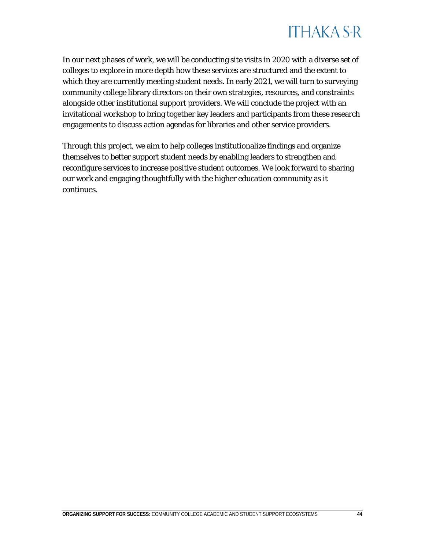

In our next phases of work, we will be conducting site visits in 2020 with a diverse set of colleges to explore in more depth how these services are structured and the extent to which they are currently meeting student needs. In early 2021, we will turn to surveying community college library directors on their own strategies, resources, and constraints alongside other institutional support providers. We will conclude the project with an invitational workshop to bring together key leaders and participants from these research engagements to discuss action agendas for libraries and other service providers.

Through this project, we aim to help colleges institutionalize findings and organize themselves to better support student needs by enabling leaders to strengthen and reconfigure services to increase positive student outcomes. We look forward to sharing our work and engaging thoughtfully with the higher education community as it continues.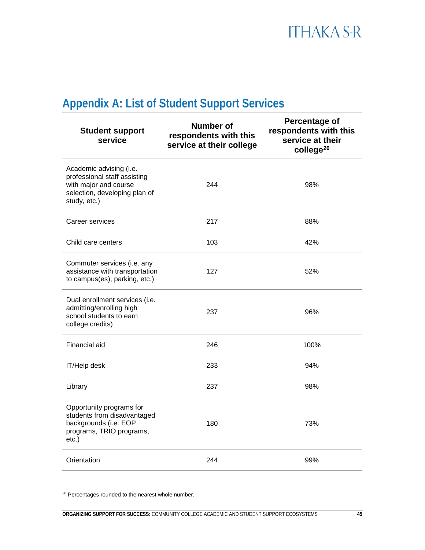### <span id="page-45-0"></span>**Appendix A: List of Student Support Services**

| <b>Student support</b><br>service                                                                                                 | <b>Number of</b><br>respondents with this<br>service at their college | <b>Percentage of</b><br>respondents with this<br>service at their<br>college <sup>26</sup> |
|-----------------------------------------------------------------------------------------------------------------------------------|-----------------------------------------------------------------------|--------------------------------------------------------------------------------------------|
| Academic advising (i.e.<br>professional staff assisting<br>with major and course<br>selection, developing plan of<br>study, etc.) | 244                                                                   | 98%                                                                                        |
| Career services                                                                                                                   | 217                                                                   | 88%                                                                                        |
| Child care centers                                                                                                                | 103                                                                   | 42%                                                                                        |
| Commuter services (i.e. any<br>assistance with transportation<br>to campus(es), parking, etc.)                                    | 127                                                                   | 52%                                                                                        |
| Dual enrollment services (i.e.<br>admitting/enrolling high<br>school students to earn<br>college credits)                         | 237                                                                   | 96%                                                                                        |
| Financial aid                                                                                                                     | 246                                                                   | 100%                                                                                       |
| IT/Help desk                                                                                                                      | 233                                                                   | 94%                                                                                        |
| Library                                                                                                                           | 237                                                                   | 98%                                                                                        |
| Opportunity programs for<br>students from disadvantaged<br>backgrounds (i.e. EOP<br>programs, TRIO programs,<br>$etc.$ )          | 180                                                                   | 73%                                                                                        |
| Orientation                                                                                                                       | 244                                                                   | 99%                                                                                        |
|                                                                                                                                   |                                                                       |                                                                                            |

<sup>26</sup> Percentages rounded to the nearest whole number.

<span id="page-45-1"></span>. . . . . . . . . .